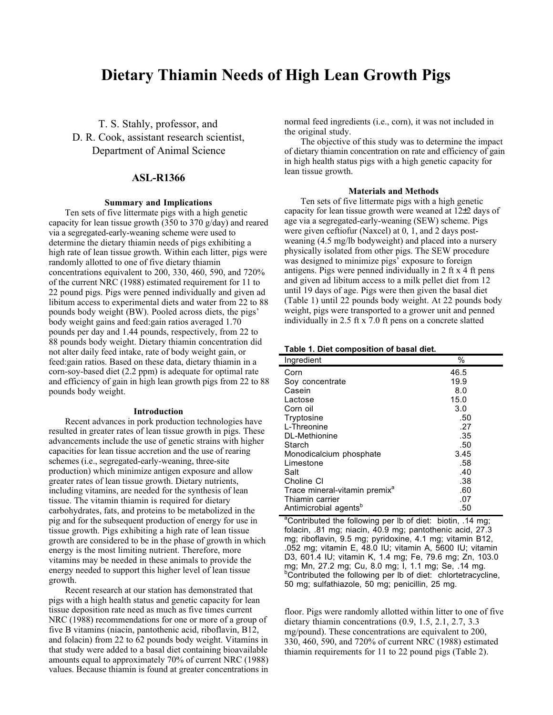# **Dietary Thiamin Needs of High Lean Growth Pigs**

T. S. Stahly, professor, and D. R. Cook, assistant research scientist, Department of Animal Science

# **ASL-R1366**

# **Summary and Implications**

Ten sets of five littermate pigs with a high genetic capacity for lean tissue growth (350 to 370 g/day) and reared via a segregated-early-weaning scheme were used to determine the dietary thiamin needs of pigs exhibiting a high rate of lean tissue growth. Within each litter, pigs were randomly allotted to one of five dietary thiamin concentrations equivalent to 200, 330, 460, 590, and 720% of the current NRC (1988) estimated requirement for 11 to 22 pound pigs. Pigs were penned individually and given ad libitum access to experimental diets and water from 22 to 88 pounds body weight (BW). Pooled across diets, the pigs' body weight gains and feed:gain ratios averaged 1.70 pounds per day and 1.44 pounds, respectively, from 22 to 88 pounds body weight. Dietary thiamin concentration did not alter daily feed intake, rate of body weight gain, or feed:gain ratios. Based on these data, dietary thiamin in a corn-soy-based diet (2.2 ppm) is adequate for optimal rate and efficiency of gain in high lean growth pigs from 22 to 88 pounds body weight.

#### **Introduction**

Recent advances in pork production technologies have resulted in greater rates of lean tissue growth in pigs. These advancements include the use of genetic strains with higher capacities for lean tissue accretion and the use of rearing schemes (i.e., segregated-early-weaning, three-site production) which minimize antigen exposure and allow greater rates of lean tissue growth. Dietary nutrients, including vitamins, are needed for the synthesis of lean tissue. The vitamin thiamin is required for dietary carbohydrates, fats, and proteins to be metabolized in the pig and for the subsequent production of energy for use in tissue growth. Pigs exhibiting a high rate of lean tissue growth are considered to be in the phase of growth in which energy is the most limiting nutrient. Therefore, more vitamins may be needed in these animals to provide the energy needed to support this higher level of lean tissue growth.

Recent research at our station has demonstrated that pigs with a high health status and genetic capacity for lean tissue deposition rate need as much as five times current NRC (1988) recommendations for one or more of a group of five B vitamins (niacin, pantothenic acid, riboflavin, B12, and folacin) from 22 to 62 pounds body weight. Vitamins in that study were added to a basal diet containing bioavailable amounts equal to approximately 70% of current NRC (1988) values. Because thiamin is found at greater concentrations in normal feed ingredients (i.e., corn), it was not included in the original study.

The objective of this study was to determine the impact of dietary thiamin concentration on rate and efficiency of gain in high health status pigs with a high genetic capacity for lean tissue growth.

## **Materials and Methods**

Ten sets of five littermate pigs with a high genetic capacity for lean tissue growth were weaned at 12±2 days of age via a segregated-early-weaning (SEW) scheme. Pigs were given ceftiofur (Naxcel) at 0, 1, and 2 days postweaning (4.5 mg/lb bodyweight) and placed into a nursery physically isolated from other pigs. The SEW procedure was designed to minimize pigs' exposure to foreign antigens. Pigs were penned individually in 2 ft x 4 ft pens and given ad libitum access to a milk pellet diet from 12 until 19 days of age. Pigs were then given the basal diet (Table 1) until 22 pounds body weight. At 22 pounds body weight, pigs were transported to a grower unit and penned individually in 2.5 ft x 7.0 ft pens on a concrete slatted

## **Table 1. Diet composition of basal diet.**

| Ingredient                                | %    |
|-------------------------------------------|------|
| Corn                                      | 46.5 |
| Soy concentrate                           | 19.9 |
| Casein                                    | 8.0  |
| Lactose                                   | 15.0 |
| Corn oil                                  | 3.0  |
| Tryptosine                                | .50  |
| L-Threonine                               | .27  |
| DL-Methionine                             | .35  |
| Starch                                    | .50  |
| Monodicalcium phosphate                   | 3.45 |
| Limestone                                 | .58  |
| Salt                                      | .40  |
| Choline CI                                | .38  |
| Trace mineral-vitamin premix <sup>a</sup> | .60  |
| Thiamin carrier                           | .07  |
| Antimicrobial agents <sup>b</sup>         | .50  |

<sup>a</sup>Contributed the following per lb of diet: biotin, .14 mg; folacin, .81 mg; niacin, 40.9 mg; pantothenic acid, 27.3 mg; riboflavin, 9.5 mg; pyridoxine, 4.1 mg; vitamin B12, .052 mg; vitamin E, 48.0 IU; vitamin A, 5600 IU; vitamin D3, 601.4 IU; vitamin K, 1.4 mg; Fe, 79.6 mg; Zn, 103.0 mg; Mn, 27.2 mg; Cu, 8.0 mg; I, 1.1 mg; Se, .14 mg. <sup>b</sup>Contributed the following per lb of diet: chlortetracycline, 50 mg; sulfathiazole, 50 mg; penicillin, 25 mg.

floor. Pigs were randomly allotted within litter to one of five dietary thiamin concentrations (0.9, 1.5, 2.1, 2.7, 3.3 mg/pound). These concentrations are equivalent to 200, 330, 460, 590, and 720% of current NRC (1988) estimated thiamin requirements for 11 to 22 pound pigs (Table 2).